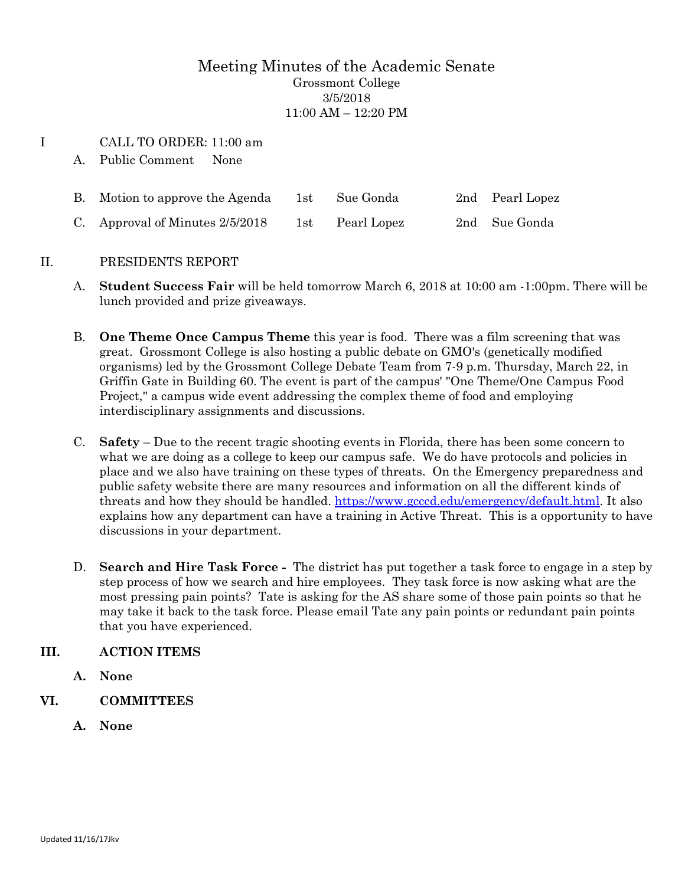## Meeting Minutes of the Academic Senate Grossmont College 3/5/2018 11:00 AM – 12:20 PM

## I CALL TO ORDER: 11:00 am

A. Public Comment None

| B. Motion to approve the Agenda | 1st | Sue Gonda   | 2nd Pearl Lopez |
|---------------------------------|-----|-------------|-----------------|
| C. Approval of Minutes 2/5/2018 | 1st | Pearl Lopez | 2nd Sue Gonda   |

## II. PRESIDENTS REPORT

- A. **Student Success Fair** will be held tomorrow March 6, 2018 at 10:00 am -1:00pm. There will be lunch provided and prize giveaways.
- B. **One Theme Once Campus Theme** this year is food. There was a film screening that was great. Grossmont College is also hosting a public debate on GMO's (genetically modified organisms) led by the Grossmont College Debate Team from 7-9 p.m. Thursday, March 22, in Griffin Gate in Building 60. The event is part of the campus' "One Theme/One Campus Food Project," a campus wide event addressing the complex theme of food and employing interdisciplinary assignments and discussions.
- C. **Safety** Due to the recent tragic shooting events in Florida, there has been some concern to what we are doing as a college to keep our campus safe. We do have protocols and policies in place and we also have training on these types of threats. On the Emergency preparedness and public safety website there are many resources and information on all the different kinds of threats and how they should be handled. [https://www.gcccd.edu/emergency/default.html.](https://www.gcccd.edu/emergency/default.html) It also explains how any department can have a training in Active Threat. This is a opportunity to have discussions in your department.
- D. **Search and Hire Task Force** The district has put together a task force to engage in a step by step process of how we search and hire employees. They task force is now asking what are the most pressing pain points? Tate is asking for the AS share some of those pain points so that he may take it back to the task force. Please email Tate any pain points or redundant pain points that you have experienced.

## **III. ACTION ITEMS**

- **A. None**
- **VI. COMMITTEES**
	- **A. None**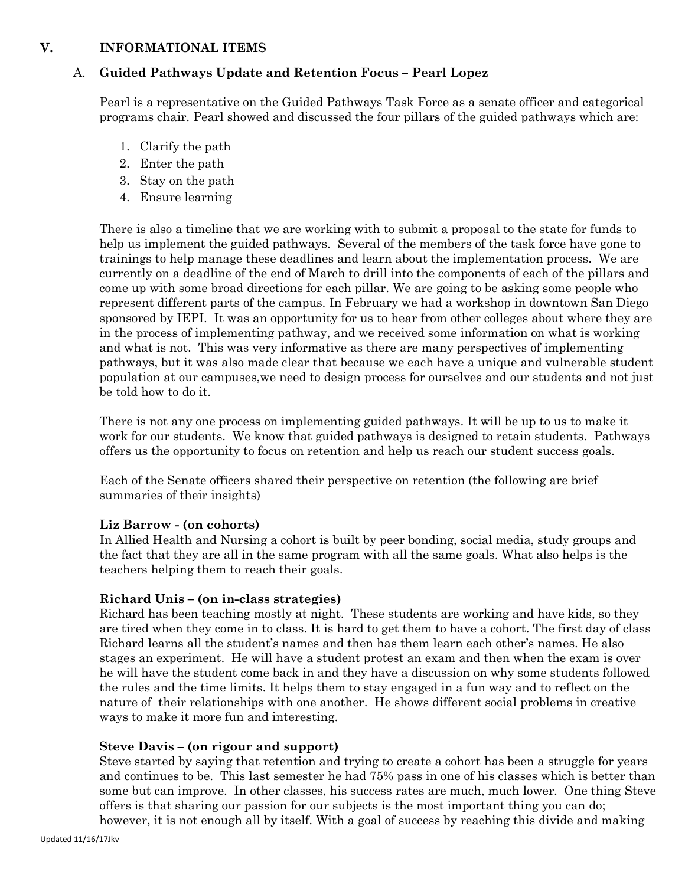### **V. INFORMATIONAL ITEMS**

### A. **Guided Pathways Update and Retention Focus – Pearl Lopez**

Pearl is a representative on the Guided Pathways Task Force as a senate officer and categorical programs chair. Pearl showed and discussed the four pillars of the guided pathways which are:

- 1. Clarify the path
- 2. Enter the path
- 3. Stay on the path
- 4. Ensure learning

There is also a timeline that we are working with to submit a proposal to the state for funds to help us implement the guided pathways. Several of the members of the task force have gone to trainings to help manage these deadlines and learn about the implementation process. We are currently on a deadline of the end of March to drill into the components of each of the pillars and come up with some broad directions for each pillar. We are going to be asking some people who represent different parts of the campus. In February we had a workshop in downtown San Diego sponsored by IEPI. It was an opportunity for us to hear from other colleges about where they are in the process of implementing pathway, and we received some information on what is working and what is not. This was very informative as there are many perspectives of implementing pathways, but it was also made clear that because we each have a unique and vulnerable student population at our campuses,we need to design process for ourselves and our students and not just be told how to do it.

There is not any one process on implementing guided pathways. It will be up to us to make it work for our students. We know that guided pathways is designed to retain students. Pathways offers us the opportunity to focus on retention and help us reach our student success goals.

Each of the Senate officers shared their perspective on retention (the following are brief summaries of their insights)

#### **Liz Barrow - (on cohorts)**

In Allied Health and Nursing a cohort is built by peer bonding, social media, study groups and the fact that they are all in the same program with all the same goals. What also helps is the teachers helping them to reach their goals.

#### **Richard Unis – (on in-class strategies)**

Richard has been teaching mostly at night. These students are working and have kids, so they are tired when they come in to class. It is hard to get them to have a cohort. The first day of class Richard learns all the student's names and then has them learn each other's names. He also stages an experiment. He will have a student protest an exam and then when the exam is over he will have the student come back in and they have a discussion on why some students followed the rules and the time limits. It helps them to stay engaged in a fun way and to reflect on the nature of their relationships with one another. He shows different social problems in creative ways to make it more fun and interesting.

#### **Steve Davis – (on rigour and support)**

Steve started by saying that retention and trying to create a cohort has been a struggle for years and continues to be. This last semester he had 75% pass in one of his classes which is better than some but can improve. In other classes, his success rates are much, much lower. One thing Steve offers is that sharing our passion for our subjects is the most important thing you can do; however, it is not enough all by itself. With a goal of success by reaching this divide and making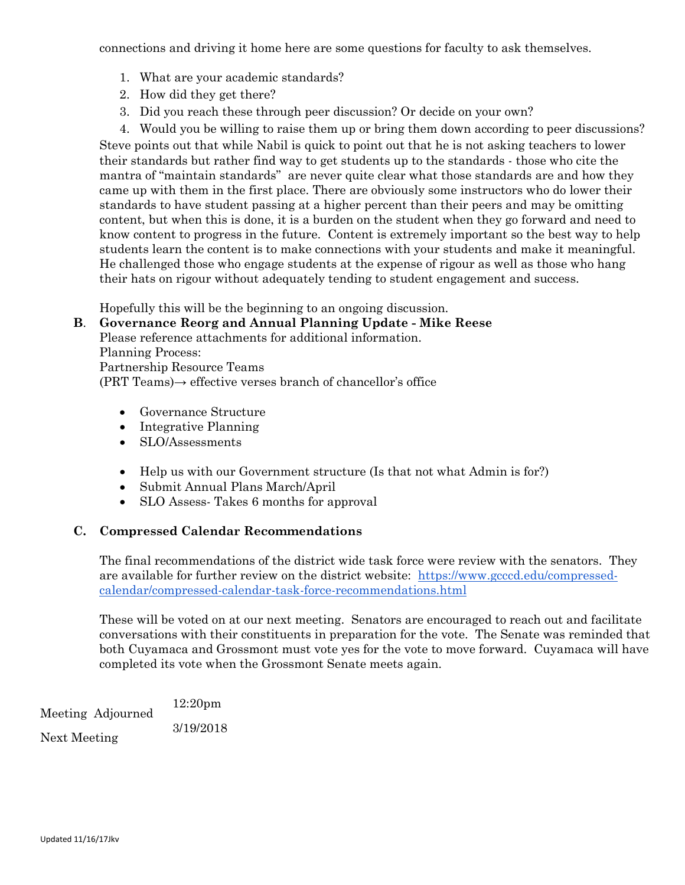connections and driving it home here are some questions for faculty to ask themselves.

- 1. What are your academic standards?
- 2. How did they get there?
- 3. Did you reach these through peer discussion? Or decide on your own?

4. Would you be willing to raise them up or bring them down according to peer discussions? Steve points out that while Nabil is quick to point out that he is not asking teachers to lower their standards but rather find way to get students up to the standards - those who cite the mantra of "maintain standards" are never quite clear what those standards are and how they came up with them in the first place. There are obviously some instructors who do lower their standards to have student passing at a higher percent than their peers and may be omitting content, but when this is done, it is a burden on the student when they go forward and need to know content to progress in the future. Content is extremely important so the best way to help students learn the content is to make connections with your students and make it meaningful. He challenged those who engage students at the expense of rigour as well as those who hang their hats on rigour without adequately tending to student engagement and success.

Hopefully this will be the beginning to an ongoing discussion.

**B**. **Governance Reorg and Annual Planning Update - Mike Reese** Please reference attachments for additional information. Planning Process: Partnership Resource Teams (PRT Teams)→ effective verses branch of chancellor's office

- Governance Structure
- Integrative Planning
- SLO/Assessments
- Help us with our Government structure (Is that not what Admin is for?)
- Submit Annual Plans March/April
- SLO Assess-Takes 6 months for approval

#### **C. Compressed Calendar Recommendations**

The final recommendations of the district wide task force were review with the senators. They are available for further review on the district website: [https://www.gcccd.edu/compressed](https://www.gcccd.edu/compressed-calendar/compressed-calendar-task-force-recommendations.html)[calendar/compressed-calendar-task-force-recommendations.html](https://www.gcccd.edu/compressed-calendar/compressed-calendar-task-force-recommendations.html)

These will be voted on at our next meeting. Senators are encouraged to reach out and facilitate conversations with their constituents in preparation for the vote. The Senate was reminded that both Cuyamaca and Grossmont must vote yes for the vote to move forward. Cuyamaca will have completed its vote when the Grossmont Senate meets again.

Meeting Adjourned 12:20pm Next Meeting 3/19/2018